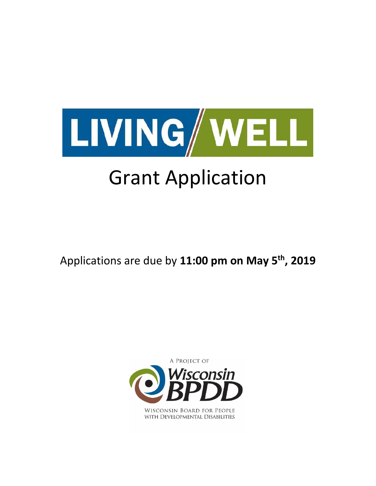

# Grant Application

Applications are due by **11:00 pm on May 5th, 2019**



WISCONSIN BOARD FOR PEOPLE WITH DEVELOPMENTAL DISABILITIES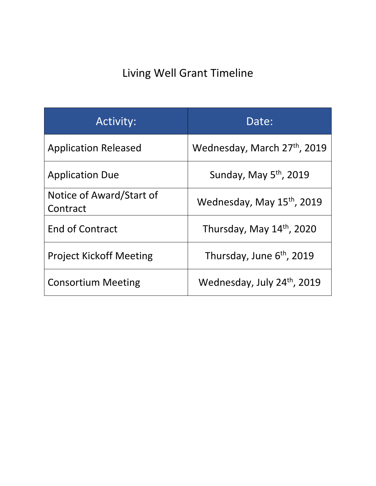## Living Well Grant Timeline

| <b>Activity:</b>                     | Date:                                  |
|--------------------------------------|----------------------------------------|
| <b>Application Released</b>          | Wednesday, March 27th, 2019            |
| <b>Application Due</b>               | Sunday, May 5 <sup>th</sup> , 2019     |
| Notice of Award/Start of<br>Contract | Wednesday, May 15 <sup>th</sup> , 2019 |
| <b>End of Contract</b>               | Thursday, May 14th, 2020               |
| <b>Project Kickoff Meeting</b>       | Thursday, June 6 <sup>th</sup> , 2019  |
| <b>Consortium Meeting</b>            | Wednesday, July 24th, 2019             |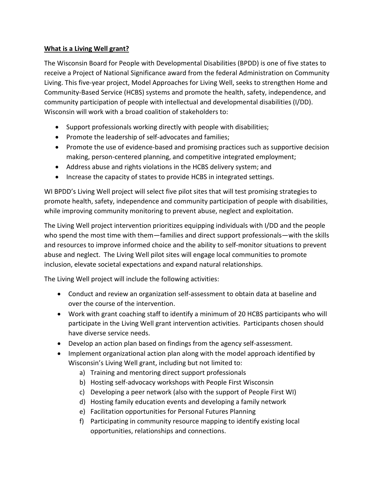#### **What is a Living Well grant?**

The Wisconsin Board for People with Developmental Disabilities (BPDD) is one of five states to receive a Project of National Significance award from the federal Administration on Community Living. This five-year project, Model Approaches for Living Well, seeks to strengthen Home and Community-Based Service (HCBS) systems and promote the health, safety, independence, and community participation of people with intellectual and developmental disabilities (I/DD). Wisconsin will work with a broad coalition of stakeholders to:

- Support professionals working directly with people with disabilities;
- Promote the leadership of self-advocates and families;
- Promote the use of evidence-based and promising practices such as supportive decision making, person-centered planning, and competitive integrated employment;
- Address abuse and rights violations in the HCBS delivery system; and
- Increase the capacity of states to provide HCBS in integrated settings.

WI BPDD's Living Well project will select five pilot sites that will test promising strategies to promote health, safety, independence and community participation of people with disabilities, while improving community monitoring to prevent abuse, neglect and exploitation.

The Living Well project intervention prioritizes equipping individuals with I/DD and the people who spend the most time with them—families and direct support professionals—with the skills and resources to improve informed choice and the ability to self-monitor situations to prevent abuse and neglect. The Living Well pilot sites will engage local communities to promote inclusion, elevate societal expectations and expand natural relationships.

The Living Well project will include the following activities:

- Conduct and review an organization self-assessment to obtain data at baseline and over the course of the intervention.
- Work with grant coaching staff to identify a minimum of 20 HCBS participants who will participate in the Living Well grant intervention activities. Participants chosen should have diverse service needs.
- Develop an action plan based on findings from the agency self-assessment.
- Implement organizational action plan along with the model approach identified by Wisconsin's Living Well grant, including but not limited to:
	- a) Training and mentoring direct support professionals
	- b) Hosting self-advocacy workshops with People First Wisconsin
	- c) Developing a peer network (also with the support of People First WI)
	- d) Hosting family education events and developing a family network
	- e) Facilitation opportunities for Personal Futures Planning
	- f) Participating in community resource mapping to identify existing local opportunities, relationships and connections.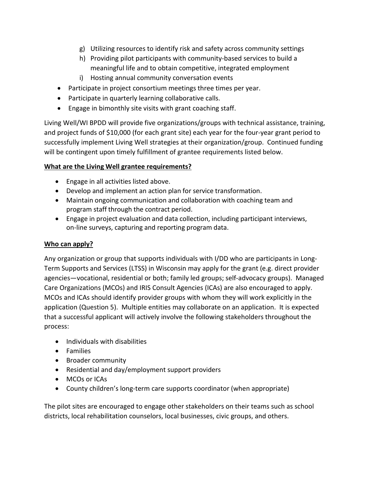- g) Utilizing resources to identify risk and safety across community settings
- h) Providing pilot participants with community-based services to build a meaningful life and to obtain competitive, integrated employment
- i) Hosting annual community conversation events
- Participate in project consortium meetings three times per year.
- Participate in quarterly learning collaborative calls.
- Engage in bimonthly site visits with grant coaching staff.

Living Well/WI BPDD will provide five organizations/groups with technical assistance, training, and project funds of \$10,000 (for each grant site) each year for the four-year grant period to successfully implement Living Well strategies at their organization/group. Continued funding will be contingent upon timely fulfillment of grantee requirements listed below.

#### **What are the Living Well grantee requirements?**

- Engage in all activities listed above.
- Develop and implement an action plan for service transformation.
- Maintain ongoing communication and collaboration with coaching team and program staff through the contract period.
- Engage in project evaluation and data collection, including participant interviews, on-line surveys, capturing and reporting program data.

#### **Who can apply?**

Any organization or group that supports individuals with I/DD who are participants in Long-Term Supports and Services (LTSS) in Wisconsin may apply for the grant (e.g. direct provider agencies—vocational, residential or both; family led groups; self-advocacy groups). Managed Care Organizations (MCOs) and IRIS Consult Agencies (ICAs) are also encouraged to apply. MCOs and ICAs should identify provider groups with whom they will work explicitly in the application (Question 5). Multiple entities may collaborate on an application. It is expected that a successful applicant will actively involve the following stakeholders throughout the process:

- Individuals with disabilities
- Families
- Broader community
- Residential and day/employment support providers
- MCOs or ICAs
- County children's long-term care supports coordinator (when appropriate)

The pilot sites are encouraged to engage other stakeholders on their teams such as school districts, local rehabilitation counselors, local businesses, civic groups, and others.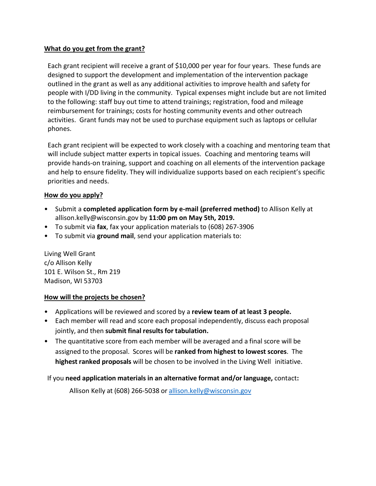#### **What do you get from the grant?**

Each grant recipient will receive a grant of \$10,000 per year for four years. These funds are designed to support the development and implementation of the intervention package outlined in the grant as well as any additional activities to improve health and safety for people with I/DD living in the community. Typical expenses might include but are not limited to the following: staff buy out time to attend trainings; registration, food and mileage reimbursement for trainings; costs for hosting community events and other outreach activities. Grant funds may not be used to purchase equipment such as laptops or cellular phones.

Each grant recipient will be expected to work closely with a coaching and mentoring team that will include subject matter experts in topical issues. Coaching and mentoring teams will provide hands-on training, support and coaching on all elements of the intervention package and help to ensure fidelity. They will individualize supports based on each recipient's specific priorities and needs.

#### **How do you apply?**

- Submit a **completed application form by e-mail (preferred method)** to Allison Kelly at allison.kelly@wisconsin.gov by **11:00 pm on May 5th, 2019.**
- To submit via **fax**, fax your application materials to (608) 267-3906
- To submit via **ground mail**, send your application materials to:

Living Well Grant c/o Allison Kelly 101 E. Wilson St., Rm 219 Madison, WI 53703

#### **How will the projects be chosen?**

- Applications will be reviewed and scored by a **review team of at least 3 people.**
- Each member will read and score each proposal independently, discuss each proposal jointly, and then **submit final results for tabulation.**
- The quantitative score from each member will be averaged and a final score will be assigned to the proposal. Scores will be **ranked from highest to lowest scores**. The **highest ranked proposals** will be chosen to be involved in the Living Well initiative.

If you **need application materials in an alternative format and/or language,** contact**:**

Allison Kelly at (608) 266-5038 or [allison.kelly@wisconsin.gov](mailto:allison.kelly@wisconsin.gov)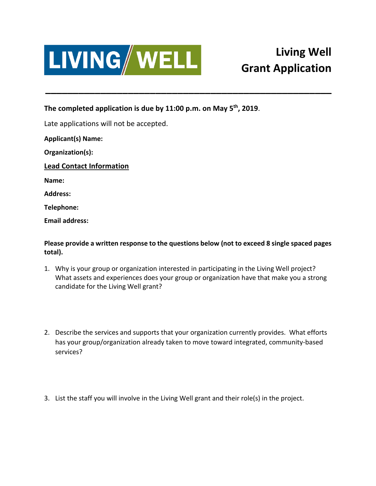

### **Living Well Grant Application**

**The completed application is due by 11:00 p.m. on May 5th, 2019**.

Late applications will not be accepted.

**Applicant(s) Name:** 

**Organization(s):** 

**Lead Contact Information** 

**Name:** 

**Address:** 

**Telephone:** 

**Email address:** 

**Please provide a written response to the questions below (not to exceed 8 single spaced pages total).** 

**\_\_\_\_\_\_\_\_\_\_\_\_\_\_\_\_\_\_\_\_\_\_\_\_\_\_\_\_\_\_\_\_\_\_\_\_\_\_\_\_\_\_\_\_\_\_\_\_\_\_\_\_**

- 1. Why is your group or organization interested in participating in the Living Well project? What assets and experiences does your group or organization have that make you a strong candidate for the Living Well grant?
- 2. Describe the services and supports that your organization currently provides. What efforts has your group/organization already taken to move toward integrated, community-based services?
- 3. List the staff you will involve in the Living Well grant and their role(s) in the project.